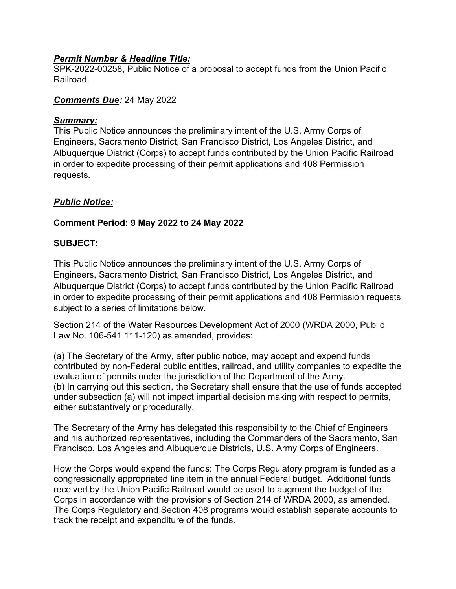#### *Permit Number & Headline Title:*

SPK-2022-00258, Public Notice of a proposal to accept funds from the Union Pacific Railroad.

### *Comments Due:* 24 May 2022

#### *Summary:*

This Public Notice announces the preliminary intent of the U.S. Army Corps of Engineers, Sacramento District, San Francisco District, Los Angeles District, and Albuquerque District (Corps) to accept funds contributed by the Union Pacific Railroad in order to expedite processing of their permit applications and 408 Permission requests.

# *Public Notice:*

# **Comment Period: 9 May 2022 to 24 May 2022**

## **SUBJECT:**

This Public Notice announces the preliminary intent of the U.S. Army Corps of Engineers, Sacramento District, San Francisco District, Los Angeles District, and Albuquerque District (Corps) to accept funds contributed by the Union Pacific Railroad in order to expedite processing of their permit applications and 408 Permission requests subject to a series of limitations below.

Section 214 of the Water Resources Development Act of 2000 (WRDA 2000, Public Law No. 106-541 111-120) as amended, provides:

(a) The Secretary of the Army, after public notice, may accept and expend funds contributed by non-Federal public entities, railroad, and utility companies to expedite the evaluation of permits under the jurisdiction of the Department of the Army. (b) In carrying out this section, the Secretary shall ensure that the use of funds accepted under subsection (a) will not impact impartial decision making with respect to permits, either substantively or procedurally.

The Secretary of the Army has delegated this responsibility to the Chief of Engineers and his authorized representatives, including the Commanders of the Sacramento, San Francisco, Los Angeles and Albuquerque Districts, U.S. Army Corps of Engineers.

How the Corps would expend the funds: The Corps Regulatory program is funded as a congressionally appropriated line item in the annual Federal budget. Additional funds received by the Union Pacific Railroad would be used to augment the budget of the Corps in accordance with the provisions of Section 214 of WRDA 2000, as amended. The Corps Regulatory and Section 408 programs would establish separate accounts to track the receipt and expenditure of the funds.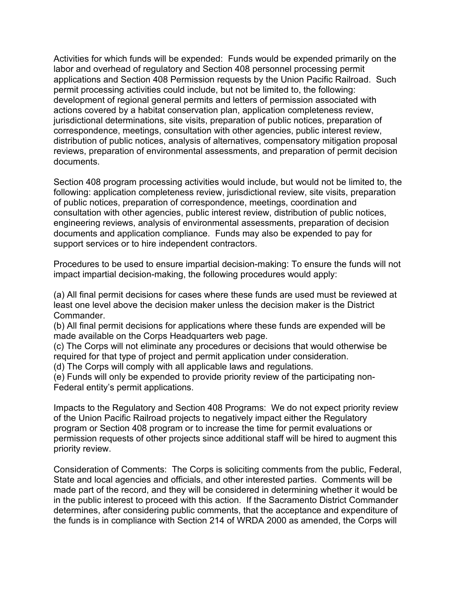Activities for which funds will be expended: Funds would be expended primarily on the labor and overhead of regulatory and Section 408 personnel processing permit applications and Section 408 Permission requests by the Union Pacific Railroad. Such permit processing activities could include, but not be limited to, the following: development of regional general permits and letters of permission associated with actions covered by a habitat conservation plan, application completeness review, jurisdictional determinations, site visits, preparation of public notices, preparation of correspondence, meetings, consultation with other agencies, public interest review, distribution of public notices, analysis of alternatives, compensatory mitigation proposal reviews, preparation of environmental assessments, and preparation of permit decision documents.

Section 408 program processing activities would include, but would not be limited to, the following: application completeness review, jurisdictional review, site visits, preparation of public notices, preparation of correspondence, meetings, coordination and consultation with other agencies, public interest review, distribution of public notices, engineering reviews, analysis of environmental assessments, preparation of decision documents and application compliance. Funds may also be expended to pay for support services or to hire independent contractors.

Procedures to be used to ensure impartial decision-making: To ensure the funds will not impact impartial decision-making, the following procedures would apply:

(a) All final permit decisions for cases where these funds are used must be reviewed at least one level above the decision maker unless the decision maker is the District Commander.

(b) All final permit decisions for applications where these funds are expended will be made available on the Corps Headquarters web page.

(c) The Corps will not eliminate any procedures or decisions that would otherwise be required for that type of project and permit application under consideration.

(d) The Corps will comply with all applicable laws and regulations.

(e) Funds will only be expended to provide priority review of the participating non-Federal entity's permit applications.

Impacts to the Regulatory and Section 408 Programs: We do not expect priority review of the Union Pacific Railroad projects to negatively impact either the Regulatory program or Section 408 program or to increase the time for permit evaluations or permission requests of other projects since additional staff will be hired to augment this priority review.

Consideration of Comments: The Corps is soliciting comments from the public, Federal, State and local agencies and officials, and other interested parties. Comments will be made part of the record, and they will be considered in determining whether it would be in the public interest to proceed with this action. If the Sacramento District Commander determines, after considering public comments, that the acceptance and expenditure of the funds is in compliance with Section 214 of WRDA 2000 as amended, the Corps will